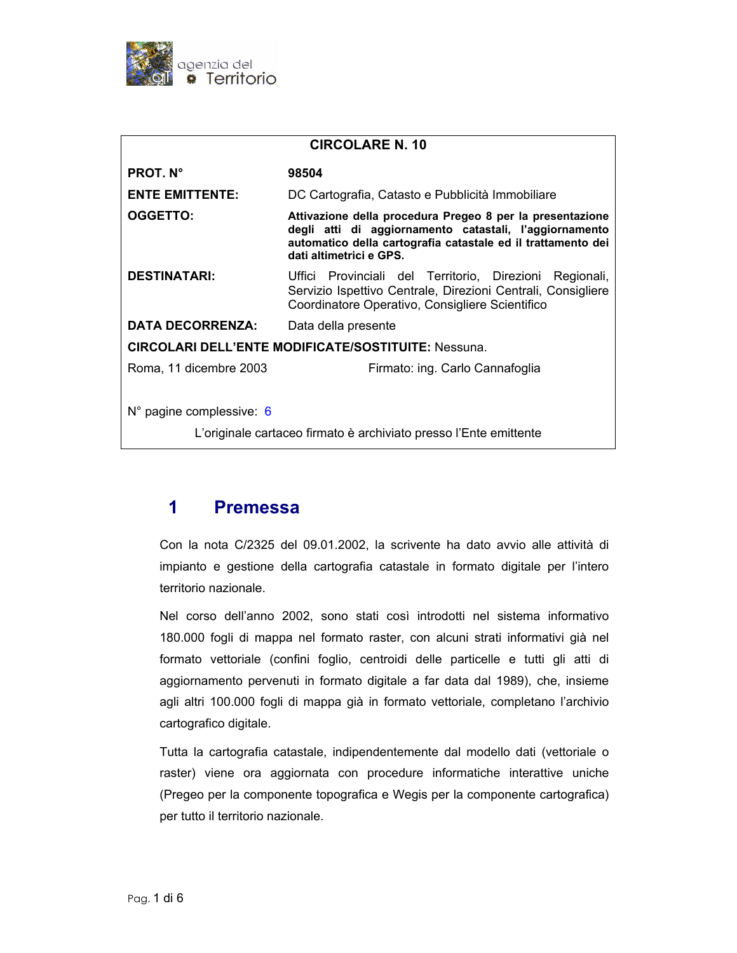

| <b>CIRCOLARE N. 10</b>                                            |                                                                                                                                                                                                                |
|-------------------------------------------------------------------|----------------------------------------------------------------------------------------------------------------------------------------------------------------------------------------------------------------|
| <b>PROT. N°</b>                                                   | 98504                                                                                                                                                                                                          |
| <b>ENTE EMITTENTE:</b>                                            | DC Cartografia, Catasto e Pubblicità Immobiliare                                                                                                                                                               |
| OGGETTO:                                                          | Attivazione della procedura Pregeo 8 per la presentazione<br>degli atti di aggiornamento catastali, l'aggiornamento<br>automatico della cartografia catastale ed il trattamento dei<br>dati altimetrici e GPS. |
| <b>DESTINATARI:</b>                                               | Uffici Provinciali del Territorio, Direzioni Regionali,<br>Servizio Ispettivo Centrale, Direzioni Centrali, Consigliere<br>Coordinatore Operativo, Consigliere Scientifico                                     |
| <b>DATA DECORRENZA:</b>                                           | Data della presente                                                                                                                                                                                            |
| <b>CIRCOLARI DELL'ENTE MODIFICATE/SOSTITUITE: Nessuna.</b>        |                                                                                                                                                                                                                |
| Roma, 11 dicembre 2003                                            | Firmato: ing. Carlo Cannafoglia                                                                                                                                                                                |
| N° pagine complessive: 6                                          |                                                                                                                                                                                                                |
| L'originale cartaceo firmato è archiviato presso l'Ente emittente |                                                                                                                                                                                                                |

### $\overline{\mathbf{1}}$ **Premessa**

Con la nota C/2325 del 09.01.2002, la scrivente ha dato avvio alle attività di impianto e gestione della cartografia catastale in formato digitale per l'intero territorio nazionale.

Nel corso dell'anno 2002, sono stati così introdotti nel sistema informativo 180.000 fogli di mappa nel formato raster, con alcuni strati informativi già nel formato vettoriale (confini foglio, centroidi delle particelle e tutti gli atti di aggiornamento pervenuti in formato digitale a far data dal 1989), che, insieme agli altri 100.000 fogli di mappa già in formato vettoriale, completano l'archivio cartografico digitale.

Tutta la cartografia catastale, indipendentemente dal modello dati (vettoriale o raster) viene ora aggiornata con procedure informatiche interattive uniche (Pregeo per la componente topografica e Wegis per la componente cartografica) per tutto il territorio nazionale.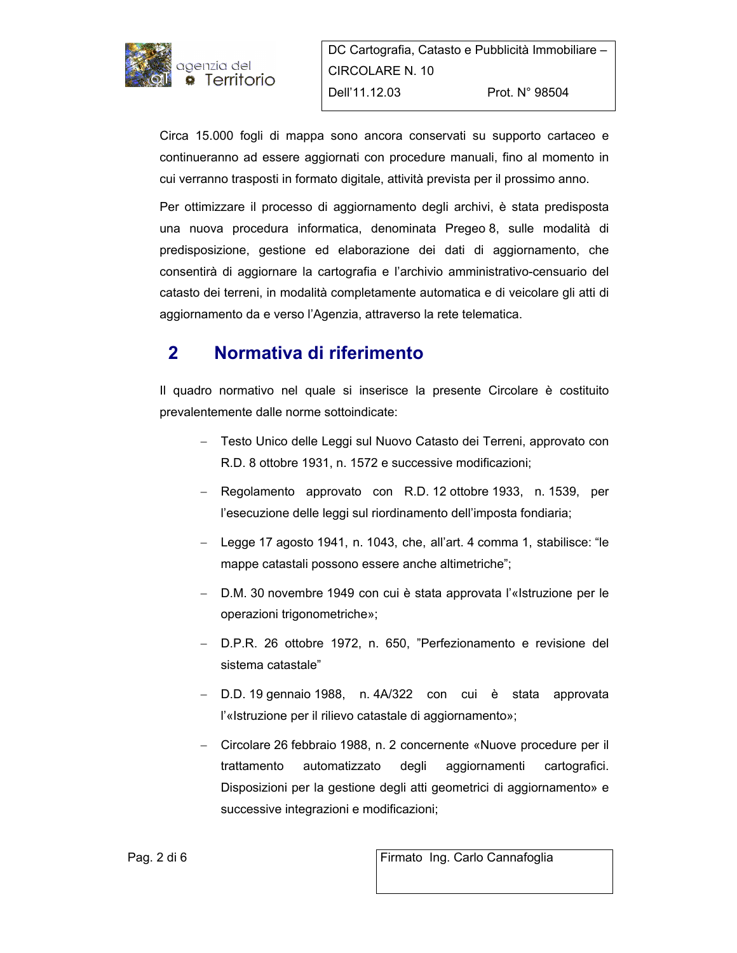

Circa 15.000 fogli di mappa sono ancora conservati su supporto cartaceo e continueranno ad essere aggiornati con procedure manuali, fino al momento in cui verranno trasposti in formato digitale, attività prevista per il prossimo anno.

Per ottimizzare il processo di aggiornamento degli archivi, è stata predisposta una nuova procedura informatica, denominata Pregeo 8, sulle modalità di predisposizione, gestione ed elaborazione dei dati di aggiornamento, che consentirà di aggiornare la cartografia e l'archivio amministrativo-censuario del catasto dei terreni, in modalità completamente automatica e di veicolare gli atti di aggiornamento da e verso l'Agenzia, attraverso la rete telematica.

## $\overline{2}$ Normativa di riferimento

Il quadro normativo nel quale si inserisce la presente Circolare è costituito prevalentemente dalle norme sottoindicate:

- Testo Unico delle Leggi sul Nuovo Catasto dei Terreni, approvato con R.D. 8 ottobre 1931, n. 1572 e successive modificazioni;
- Regolamento approvato con R.D. 12 ottobre 1933, n. 1539, per l'esecuzione delle leggi sul riordinamento dell'imposta fondiaria;
- Legge 17 agosto 1941, n. 1043, che, all'art. 4 comma 1, stabilisce: "le mappe catastali possono essere anche altimetriche";
- D.M. 30 novembre 1949 con cui è stata approvata l'«Istruzione per le operazioni trigonometriche»;
- D.P.R. 26 ottobre 1972, n. 650, "Perfezionamento e revisione del sistema catastale"
- D.D. 19 gennaio 1988, n. 4A/322 con cui è stata approvata l'«Istruzione per il rilievo catastale di aggiornamento»;
- Circolare 26 febbraio 1988, n. 2 concernente «Nuove procedure per il trattamento automatizzato degli aggiornamenti cartografici. Disposizioni per la gestione degli atti geometrici di aggiornamento» e successive integrazioni e modificazioni;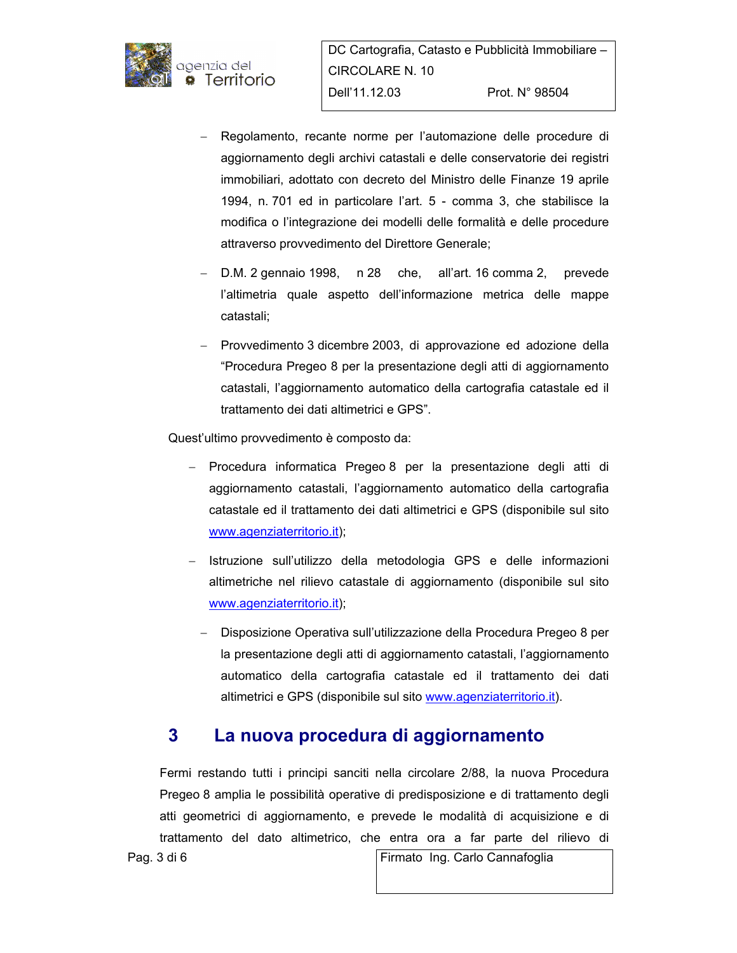

- Regolamento, recante norme per l'automazione delle procedure di aggiornamento degli archivi catastali e delle conservatorie dei registri immobiliari, adottato con decreto del Ministro delle Finanze 19 aprile 1994, n. 701 ed in particolare l'art. 5 - comma 3, che stabilisce la modifica o l'integrazione dei modelli delle formalità e delle procedure attraverso provvedimento del Direttore Generale;
- $-$  D.M. 2 gennaio 1998, n 28 che, all'art. 16 comma 2, prevede l'altimetria quale aspetto dell'informazione metrica delle mappe catastali;
- Provvedimento 3 dicembre 2003, di approvazione ed adozione della "Procedura Pregeo 8 per la presentazione degli atti di aggiornamento catastali, l'aggiornamento automatico della cartografia catastale ed il trattamento dei dati altimetrici e GPS".

Quest'ultimo provvedimento è composto da:

- Procedura informatica Pregeo 8 per la presentazione degli atti di aggiornamento catastali, l'aggiornamento automatico della cartografia catastale ed il trattamento dei dati altimetrici e GPS (disponibile sul sito www.agenziaterritorio.it);
- Istruzione sull'utilizzo della metodologia GPS e delle informazioni altimetriche nel rilievo catastale di aggiornamento (disponibile sul sito www.agenziaterritorio.it);
	- Disposizione Operativa sull'utilizzazione della Procedura Pregeo 8 per la presentazione degli atti di aggiornamento catastali, l'aggiornamento automatico della cartografia catastale ed il trattamento dei dati altimetrici e GPS (disponibile sul sito www.agenziaterritorio.it).

### $3<sup>1</sup>$ La nuova procedura di aggiornamento

Fermi restando tutti i principi sanciti nella circolare 2/88, la nuova Procedura Pregeo 8 amplia le possibilità operative di predisposizione e di trattamento degli atti geometrici di aggiornamento, e prevede le modalità di acquisizione e di trattamento del dato altimetrico, che entra ora a far parte del rilievo di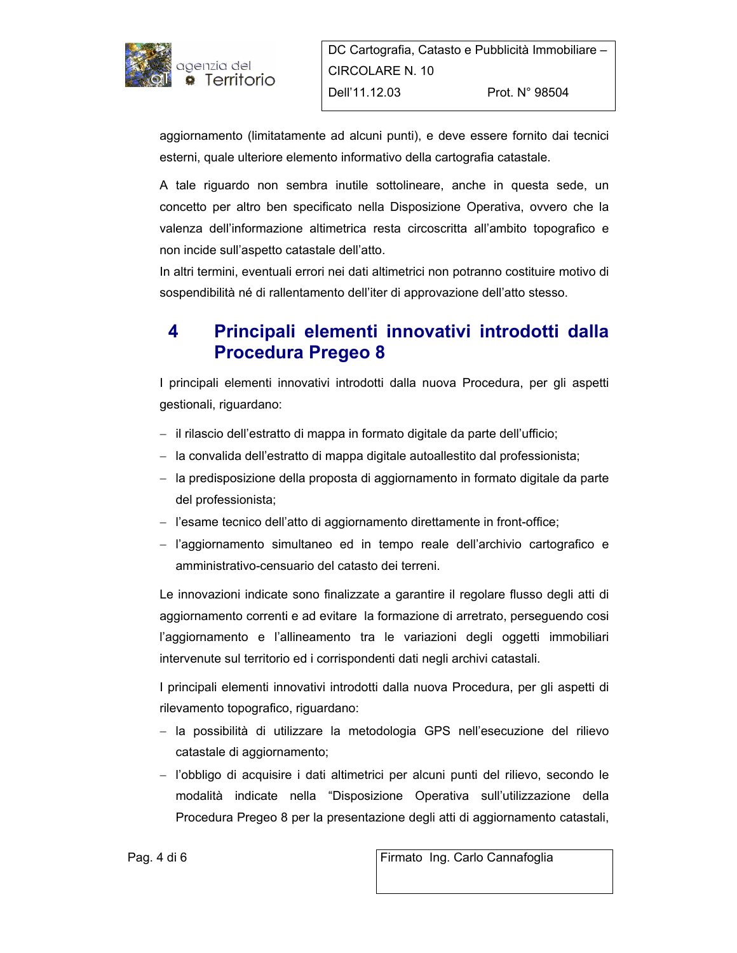

aggiornamento (limitatamente ad alcuni punti), e deve essere fornito dai tecnici esterni, quale ulteriore elemento informativo della cartografia catastale.

A tale riguardo non sembra inutile sottolineare, anche in questa sede, un concetto per altro ben specificato nella Disposizione Operativa, ovvero che la valenza dell'informazione altimetrica resta circoscritta all'ambito topografico e non incide sull'aspetto catastale dell'atto.

In altri termini, eventuali errori nei dati altimetrici non potranno costituire motivo di sospendibilità né di rallentamento dell'iter di approvazione dell'atto stesso.

# 4 Principali elementi innovativi introdotti dalla **Procedura Pregeo 8**

I principali elementi innovativi introdotti dalla nuova Procedura, per gli aspetti gestionali, riguardano:

- il rilascio dell'estratto di mappa in formato digitale da parte dell'ufficio;
- la convalida dell'estratto di mappa digitale autoallestito dal professionista;
- la predisposizione della proposta di aggiornamento in formato digitale da parte del professionista;
- l'esame tecnico dell'atto di aggiornamento direttamente in front-office;
- l'aggiornamento simultaneo ed in tempo reale dell'archivio cartografico e amministrativo-censuario del catasto dei terreni.

Le innovazioni indicate sono finalizzate a garantire il regolare flusso degli atti di aggiornamento correnti e ad evitare la formazione di arretrato, perseguendo cosi l'aggiornamento e l'allineamento tra le variazioni degli oggetti immobiliari intervenute sul territorio ed i corrispondenti dati negli archivi catastali.

I principali elementi innovativi introdotti dalla nuova Procedura, per gli aspetti di rilevamento topografico, riguardano:

- la possibilità di utilizzare la metodologia GPS nell'esecuzione del rilievo catastale di aggiornamento;
- l'obbligo di acquisire i dati altimetrici per alcuni punti del rilievo, secondo le modalità indicate nella "Disposizione Operativa sull'utilizzazione della Procedura Pregeo 8 per la presentazione degli atti di aggiornamento catastali,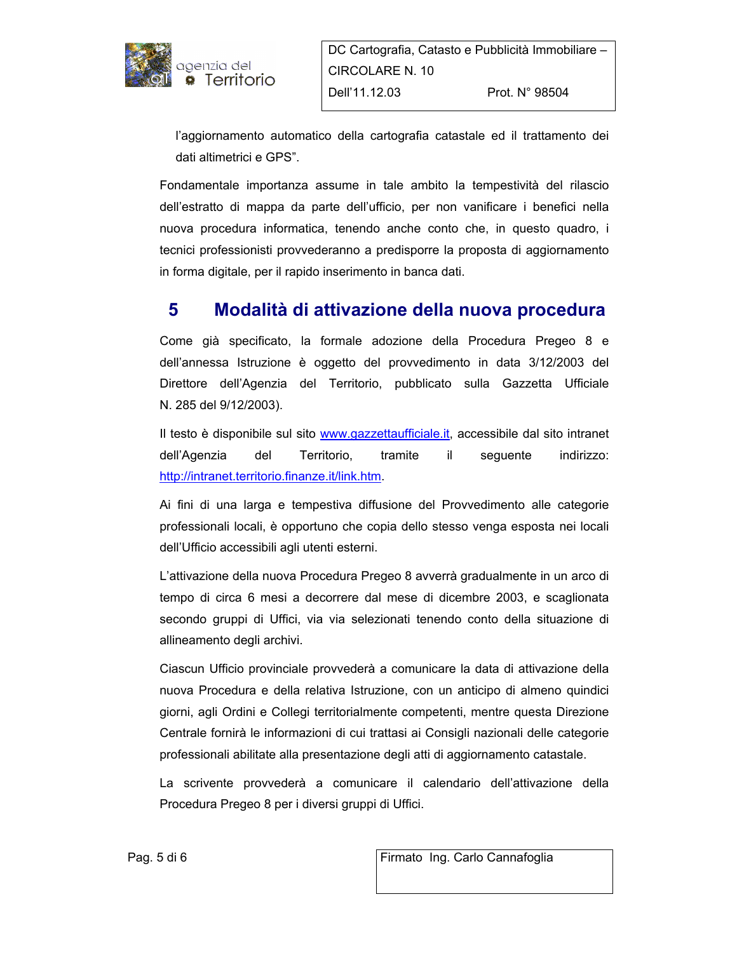

l'aggiornamento automatico della cartografia catastale ed il trattamento dei dati altimetrici e GPS".

Fondamentale importanza assume in tale ambito la tempestività del rilascio dell'estratto di mappa da parte dell'ufficio, per non vanificare i benefici nella nuova procedura informatica, tenendo anche conto che, in questo quadro, i tecnici professionisti provvederanno a predisporre la proposta di aggiornamento in forma digitale, per il rapido inserimento in banca dati.

#### Modalità di attivazione della nuova procedura 5

Come già specificato, la formale adozione della Procedura Pregeo 8 e dell'annessa Istruzione è oggetto del provvedimento in data 3/12/2003 del Direttore dell'Agenzia del Territorio, pubblicato sulla Gazzetta Ufficiale N. 285 del 9/12/2003).

Il testo è disponibile sul sito www.gazzettaufficiale.it, accessibile dal sito intranet dell'Agenzia del Territorio, tramite  $\mathbf{ii}$ seguente indirizzo: http://intranet.territorio.finanze.it/link.htm.

Ai fini di una larga e tempestiva diffusione del Provvedimento alle categorie professionali locali, è opportuno che copia dello stesso venga esposta nei locali dell'Ufficio accessibili agli utenti esterni.

L'attivazione della nuova Procedura Pregeo 8 avverrà gradualmente in un arco di tempo di circa 6 mesi a decorrere dal mese di dicembre 2003, e scaglionata secondo gruppi di Uffici, via via selezionati tenendo conto della situazione di allineamento degli archivi.

Ciascun Ufficio provinciale provvederà a comunicare la data di attivazione della nuova Procedura e della relativa Istruzione, con un anticipo di almeno quindici giorni, agli Ordini e Collegi territorialmente competenti, mentre questa Direzione Centrale fornirà le informazioni di cui trattasi ai Consigli nazionali delle categorie professionali abilitate alla presentazione degli atti di aggiornamento catastale.

La scrivente provvederà a comunicare il calendario dell'attivazione della Procedura Pregeo 8 per i diversi gruppi di Uffici.